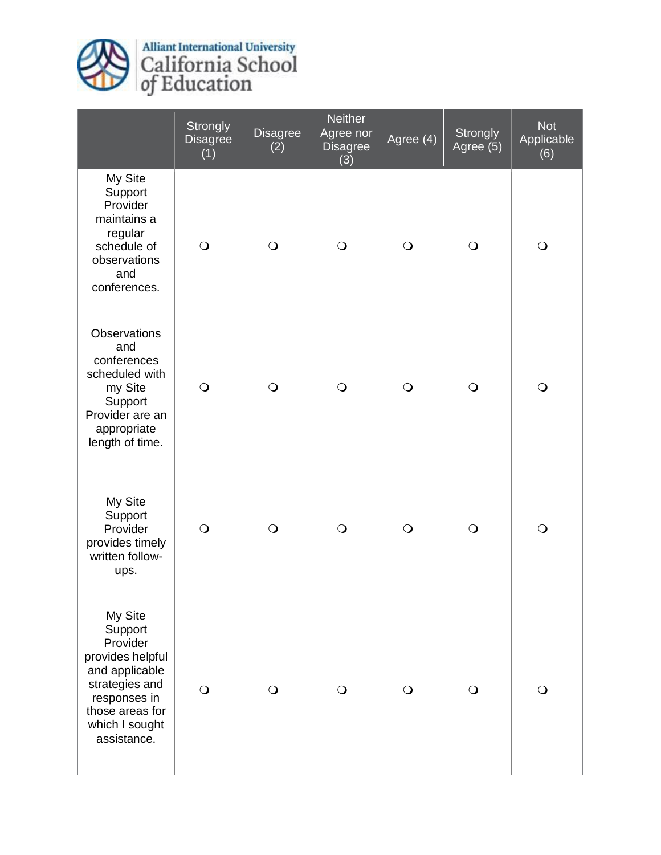

Alliant International University<br>California School<br>of Education

|                                                                                                                                                            | Strongly<br><b>Disagree</b><br>(1) | <b>Disagree</b><br>(2) | <b>Neither</b><br>Agree nor<br><b>Disagree</b><br>(3) | Agree (4)  | Strongly<br>Agree (5) | <b>Not</b><br>Applicable<br>(6) |
|------------------------------------------------------------------------------------------------------------------------------------------------------------|------------------------------------|------------------------|-------------------------------------------------------|------------|-----------------------|---------------------------------|
| My Site<br>Support<br>Provider<br>maintains a<br>regular<br>schedule of<br>observations<br>and<br>conferences.                                             | $\bigcirc$                         | $\bigcirc$             | $\bigcirc$                                            | $\bigcirc$ | $\bigcirc$            | $\bigcirc$                      |
| <b>Observations</b><br>and<br>conferences<br>scheduled with<br>my Site<br>Support<br>Provider are an<br>appropriate<br>length of time.                     | $\bigcirc$                         | $\bigcirc$             | $\bigcirc$                                            | $\bigcirc$ | $\bigcirc$            | $\bigcirc$                      |
| My Site<br>Support<br>Provider<br>provides timely<br>written follow-<br>ups.                                                                               | $\bigcirc$                         | $\bigcirc$             | $\bigcirc$                                            | $\bigcirc$ | $\bigcirc$            | $\bigcirc$                      |
| My Site<br>Support<br>Provider<br>provides helpful<br>and applicable<br>strategies and<br>responses in<br>those areas for<br>which I sought<br>assistance. | $\bigcirc$                         | $\bigcirc$             | $\bigcirc$                                            | $\bigcirc$ | $\Omega$              | $\bigcirc$                      |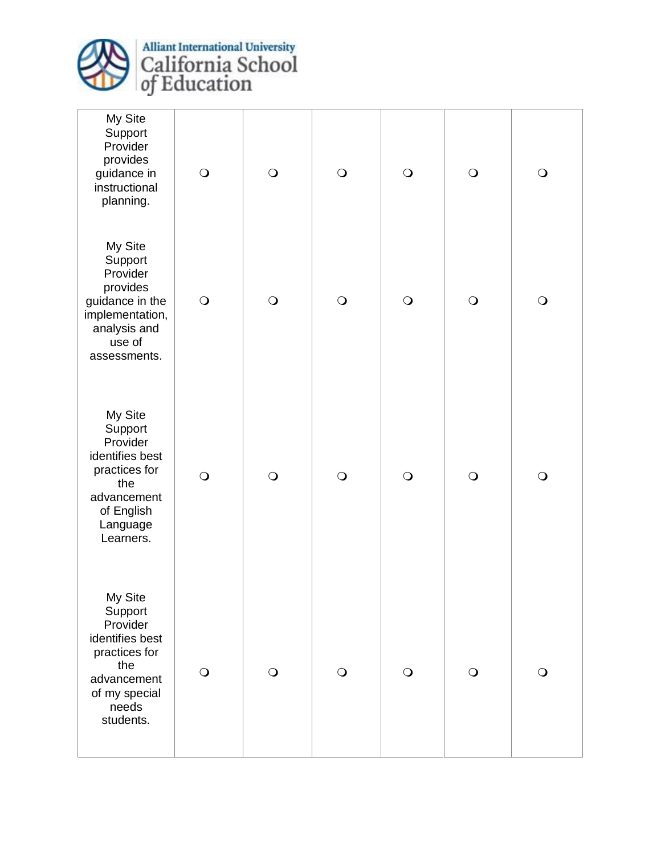

Alliant International University<br>California School<br>of Education

| My Site<br>Support<br>Provider<br>provides<br>guidance in<br>instructional<br>planning.                                         | $\bigcirc$ | $\bigcirc$ | $\bigcirc$ | $\bigcirc$ | $\bigcirc$ | $\bigcirc$ |
|---------------------------------------------------------------------------------------------------------------------------------|------------|------------|------------|------------|------------|------------|
| My Site<br>Support<br>Provider<br>provides<br>guidance in the<br>implementation,<br>analysis and<br>use of<br>assessments.      | $\bigcirc$ | $\bigcirc$ | $\bigcirc$ | $\bigcirc$ | $\bigcirc$ | $\bigcirc$ |
| My Site<br>Support<br>Provider<br>identifies best<br>practices for<br>the<br>advancement<br>of English<br>Language<br>Learners. | $\bigcirc$ | $\bigcirc$ | $\bigcirc$ | $\bigcirc$ | $\bigcirc$ | $\bigcirc$ |
| My Site<br>Support<br>Provider<br>identifies best<br>practices for<br>the<br>advancement<br>of my special<br>needs<br>students. | $\bigcirc$ | $\bigcirc$ | $\bigcirc$ | $\bigcirc$ | $\bigcirc$ | $\bigcirc$ |